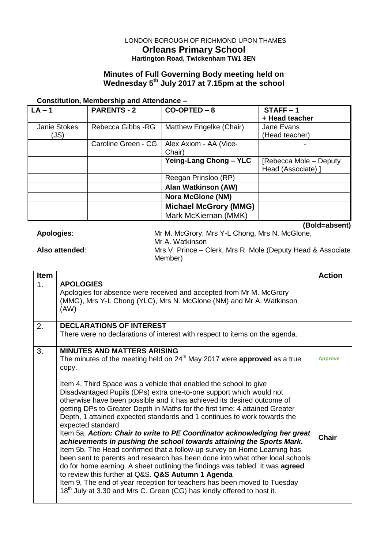# LONDON BOROUGH OF RICHMOND UPON THAMES **Orleans Primary School Hartington Road, Twickenham TW1 3EN**

### **Minutes of Full Governing Body meeting held on Wednesday 5 th July 2017 at 7.15pm at the school**

# **Constitution, Membership and Attendance –**

| $\mathsf{L}\mathsf{A}-\mathsf{1}$ | <b>PARENTS - 2</b>  | $CO-OPTED - 8$               | $STATE - 1$             |
|-----------------------------------|---------------------|------------------------------|-------------------------|
|                                   |                     |                              | + Head teacher          |
| <b>Janie Stokes</b>               | Rebecca Gibbs - RG  | Matthew Engelke (Chair)      | Jane Evans              |
| (JS)                              |                     |                              | (Head teacher)          |
|                                   | Caroline Green - CG | Alex Axiom - AA (Vice-       |                         |
|                                   |                     | Chair)                       |                         |
|                                   |                     | Yeing-Lang Chong - YLC       | [Rebecca Mole – Deputy] |
|                                   |                     |                              | Head (Associate) 1      |
|                                   |                     | Reegan Prinsloo (RP)         |                         |
|                                   |                     | <b>Alan Watkinson (AW)</b>   |                         |
|                                   |                     | <b>Nora McGlone (NM)</b>     |                         |
|                                   |                     | <b>Michael McGrory (MMG)</b> |                         |
|                                   |                     | Mark McKiernan (MMK)         |                         |
|                                   |                     |                              | (Bold=absent)           |

| (DUIU=AUSUIII)                                                         |
|------------------------------------------------------------------------|
| Mr M. McGrory, Mrs Y-L Chong, Mrs N. McGlone,                          |
| Mr A. Watkinson                                                        |
| Mrs V. Prince – Clerk, Mrs R. Mole (Deputy Head & Associate<br>Member) |
|                                                                        |

| <b>Item</b>   |                                                                                                                                                                                                                                                                                                                                                                                                                                                                                                                                                                                                                                                                                                                                                                                                                                                                                                                                                                                                                                  | <b>Action</b>  |
|---------------|----------------------------------------------------------------------------------------------------------------------------------------------------------------------------------------------------------------------------------------------------------------------------------------------------------------------------------------------------------------------------------------------------------------------------------------------------------------------------------------------------------------------------------------------------------------------------------------------------------------------------------------------------------------------------------------------------------------------------------------------------------------------------------------------------------------------------------------------------------------------------------------------------------------------------------------------------------------------------------------------------------------------------------|----------------|
| $\mathbf 1$ . | <b>APOLOGIES</b><br>Apologies for absence were received and accepted from Mr M. McGrory<br>(MMG), Mrs Y-L Chong (YLC), Mrs N. McGlone (NM) and Mr A. Watkinson<br>(AW)                                                                                                                                                                                                                                                                                                                                                                                                                                                                                                                                                                                                                                                                                                                                                                                                                                                           |                |
| 2.            | <b>DECLARATIONS OF INTEREST</b>                                                                                                                                                                                                                                                                                                                                                                                                                                                                                                                                                                                                                                                                                                                                                                                                                                                                                                                                                                                                  |                |
|               | There were no declarations of interest with respect to items on the agenda.                                                                                                                                                                                                                                                                                                                                                                                                                                                                                                                                                                                                                                                                                                                                                                                                                                                                                                                                                      |                |
| 3.            | <b>MINUTES AND MATTERS ARISING</b>                                                                                                                                                                                                                                                                                                                                                                                                                                                                                                                                                                                                                                                                                                                                                                                                                                                                                                                                                                                               |                |
|               | The minutes of the meeting held on $24th$ May 2017 were <b>approved</b> as a true<br>copy.                                                                                                                                                                                                                                                                                                                                                                                                                                                                                                                                                                                                                                                                                                                                                                                                                                                                                                                                       | <b>Approve</b> |
|               | Item 4, Third Space was a vehicle that enabled the school to give<br>Disadvantaged Pupils (DPs) extra one-to-one support which would not<br>otherwise have been possible and it has achieved its desired outcome of<br>getting DPs to Greater Depth in Maths for the first time: 4 attained Greater<br>Depth, 1 attained expected standards and 1 continues to work towards the<br>expected standard<br>Item 5a, Action: Chair to write to PE Coordinator acknowledging her great<br>achievements in pushing the school towards attaining the Sports Mark.<br>Item 5b, The Head confirmed that a follow-up survey on Home Learning has<br>been sent to parents and research has been done into what other local schools<br>do for home earning. A sheet outlining the findings was tabled. It was agreed<br>to review this further at Q&S. Q&S Autumn 1 Agenda<br>Item 9, The end of year reception for teachers has been moved to Tuesday<br>18 <sup>th</sup> July at 3.30 and Mrs C. Green (CG) has kindly offered to host it. | Chair          |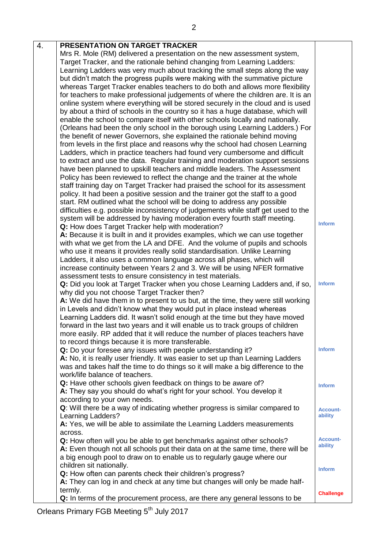| 4. | PRESENTATION ON TARGET TRACKER                                                     |                  |
|----|------------------------------------------------------------------------------------|------------------|
|    | Mrs R. Mole (RM) delivered a presentation on the new assessment system,            |                  |
|    | Target Tracker, and the rationale behind changing from Learning Ladders:           |                  |
|    | Learning Ladders was very much about tracking the small steps along the way        |                  |
|    | but didn't match the progress pupils were making with the summative picture        |                  |
|    | whereas Target Tracker enables teachers to do both and allows more flexibility     |                  |
|    | for teachers to make professional judgements of where the children are. It is an   |                  |
|    | online system where everything will be stored securely in the cloud and is used    |                  |
|    | by about a third of schools in the country so it has a huge database, which will   |                  |
|    | enable the school to compare itself with other schools locally and nationally.     |                  |
|    | (Orleans had been the only school in the borough using Learning Ladders.) For      |                  |
|    | the benefit of newer Governors, she explained the rationale behind moving          |                  |
|    | from levels in the first place and reasons why the school had chosen Learning      |                  |
|    | Ladders, which in practice teachers had found very cumbersome and difficult        |                  |
|    | to extract and use the data. Regular training and moderation support sessions      |                  |
|    | have been planned to upskill teachers and middle leaders. The Assessment           |                  |
|    | Policy has been reviewed to reflect the change and the trainer at the whole        |                  |
|    | staff training day on Target Tracker had praised the school for its assessment     |                  |
|    | policy. It had been a positive session and the trainer got the staff to a good     |                  |
|    | start. RM outlined what the school will be doing to address any possible           |                  |
|    | difficulties e.g. possible inconsistency of judgements while staff get used to the |                  |
|    | system will be addressed by having moderation every fourth staff meeting.          |                  |
|    | Q: How does Target Tracker help with moderation?                                   | <b>Inform</b>    |
|    | A: Because it is built in and it provides examples, which we can use together      |                  |
|    | with what we get from the LA and DFE. And the volume of pupils and schools         |                  |
|    | who use it means it provides really solid standardisation. Unlike Learning         |                  |
|    | Ladders, it also uses a common language across all phases, which will              |                  |
|    | increase continuity between Years 2 and 3. We will be using NFER formative         |                  |
|    | assessment tests to ensure consistency in test materials.                          |                  |
|    | Q: Did you look at Target Tracker when you chose Learning Ladders and, if so,      | <b>Inform</b>    |
|    | why did you not choose Target Tracker then?                                        |                  |
|    | A: We did have them in to present to us but, at the time, they were still working  |                  |
|    | in Levels and didn't know what they would put in place instead whereas             |                  |
|    | Learning Ladders did. It wasn't solid enough at the time but they have moved       |                  |
|    | forward in the last two years and it will enable us to track groups of children    |                  |
|    | more easily. RP added that it will reduce the number of places teachers have       |                  |
|    | to record things because it is more transferable.                                  |                  |
|    | Q: Do your foresee any issues with people understanding it?                        | <b>Inform</b>    |
|    | A: No, it is really user friendly. It was easier to set up than Learning Ladders   |                  |
|    | was and takes half the time to do things so it will make a big difference to the   |                  |
|    | work/life balance of teachers.                                                     |                  |
|    | Q: Have other schools given feedback on things to be aware of?                     | <b>Inform</b>    |
|    | A: They say you should do what's right for your school. You develop it             |                  |
|    | according to your own needs.                                                       |                  |
|    | Q: Will there be a way of indicating whether progress is similar compared to       | <b>Account-</b>  |
|    | Learning Ladders?                                                                  | ability          |
|    | A: Yes, we will be able to assimilate the Learning Ladders measurements            |                  |
|    | across.                                                                            | <b>Account-</b>  |
|    | Q: How often will you be able to get benchmarks against other schools?             | ability          |
|    | A: Even though not all schools put their data on at the same time, there will be   |                  |
|    | a big enough pool to draw on to enable us to regularly gauge where our             |                  |
|    | children sit nationally.                                                           | <b>Inform</b>    |
|    | Q: How often can parents check their children's progress?                          |                  |
|    | A: They can log in and check at any time but changes will only be made half-       |                  |
|    | termly.                                                                            | <b>Challenge</b> |
|    | Q: In terms of the procurement process, are there any general lessons to be        |                  |

Orleans Primary FGB Meeting 5<sup>th</sup> July 2017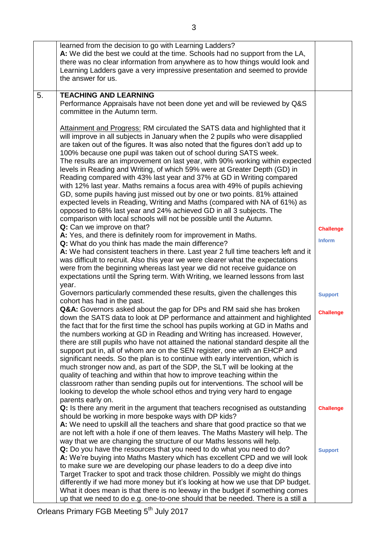|    | learned from the decision to go with Learning Ladders?<br>A: We did the best we could at the time. Schools had no support from the LA,<br>there was no clear information from anywhere as to how things would look and<br>Learning Ladders gave a very impressive presentation and seemed to provide<br>the answer for us.                                                                                                                                                                                                                                                                                                                                                                                                                                                                                                                                                                                                                                                          |                  |
|----|-------------------------------------------------------------------------------------------------------------------------------------------------------------------------------------------------------------------------------------------------------------------------------------------------------------------------------------------------------------------------------------------------------------------------------------------------------------------------------------------------------------------------------------------------------------------------------------------------------------------------------------------------------------------------------------------------------------------------------------------------------------------------------------------------------------------------------------------------------------------------------------------------------------------------------------------------------------------------------------|------------------|
| 5. | <b>TEACHING AND LEARNING</b>                                                                                                                                                                                                                                                                                                                                                                                                                                                                                                                                                                                                                                                                                                                                                                                                                                                                                                                                                        |                  |
|    | Performance Appraisals have not been done yet and will be reviewed by Q&S<br>committee in the Autumn term.                                                                                                                                                                                                                                                                                                                                                                                                                                                                                                                                                                                                                                                                                                                                                                                                                                                                          |                  |
|    | Attainment and Progress: RM circulated the SATS data and highlighted that it<br>will improve in all subjects in January when the 2 pupils who were disapplied<br>are taken out of the figures. It was also noted that the figures don't add up to<br>100% because one pupil was taken out of school during SATS week.<br>The results are an improvement on last year, with 90% working within expected<br>levels in Reading and Writing, of which 59% were at Greater Depth (GD) in<br>Reading compared with 43% last year and 37% at GD in Writing compared<br>with 12% last year. Maths remains a focus area with 49% of pupils achieving<br>GD, some pupils having just missed out by one or two points. 81% attained<br>expected levels in Reading, Writing and Maths (compared with NA of 61%) as<br>opposed to 68% last year and 24% achieved GD in all 3 subjects. The<br>comparison with local schools will not be possible until the Autumn.<br>Q: Can we improve on that? |                  |
|    |                                                                                                                                                                                                                                                                                                                                                                                                                                                                                                                                                                                                                                                                                                                                                                                                                                                                                                                                                                                     | <b>Challenge</b> |
|    | A: Yes, and there is definitely room for improvement in Maths.                                                                                                                                                                                                                                                                                                                                                                                                                                                                                                                                                                                                                                                                                                                                                                                                                                                                                                                      | <b>Inform</b>    |
|    | Q: What do you think has made the main difference?<br>A: We had consistent teachers in there. Last year 2 full time teachers left and it                                                                                                                                                                                                                                                                                                                                                                                                                                                                                                                                                                                                                                                                                                                                                                                                                                            |                  |
|    | was difficult to recruit. Also this year we were clearer what the expectations                                                                                                                                                                                                                                                                                                                                                                                                                                                                                                                                                                                                                                                                                                                                                                                                                                                                                                      |                  |
|    | were from the beginning whereas last year we did not receive guidance on                                                                                                                                                                                                                                                                                                                                                                                                                                                                                                                                                                                                                                                                                                                                                                                                                                                                                                            |                  |
|    | expectations until the Spring term. With Writing, we learned lessons from last                                                                                                                                                                                                                                                                                                                                                                                                                                                                                                                                                                                                                                                                                                                                                                                                                                                                                                      |                  |
|    | year.                                                                                                                                                                                                                                                                                                                                                                                                                                                                                                                                                                                                                                                                                                                                                                                                                                                                                                                                                                               |                  |
|    | Governors particularly commended these results, given the challenges this<br>cohort has had in the past.                                                                                                                                                                                                                                                                                                                                                                                                                                                                                                                                                                                                                                                                                                                                                                                                                                                                            | <b>Support</b>   |
|    | Q&A: Governors asked about the gap for DPs and RM said she has broken<br>down the SATS data to look at DP performance and attainment and highlighted<br>the fact that for the first time the school has pupils working at GD in Maths and<br>the numbers working at GD in Reading and Writing has increased. However,<br>there are still pupils who have not attained the national standard despite all the<br>support put in, all of whom are on the SEN register, one with an EHCP and<br>significant needs. So the plan is to continue with early intervention, which is<br>much stronger now and, as part of the SDP, the SLT will be looking at the<br>quality of teaching and within that how to improve teaching within the<br>classroom rather than sending pupils out for interventions. The school will be<br>looking to develop the whole school ethos and trying very hard to engage<br>parents early on.                                                               | <b>Challenge</b> |
|    | Q: Is there any merit in the argument that teachers recognised as outstanding<br>should be working in more bespoke ways with DP kids?                                                                                                                                                                                                                                                                                                                                                                                                                                                                                                                                                                                                                                                                                                                                                                                                                                               | <b>Challenge</b> |
|    | A: We need to upskill all the teachers and share that good practice so that we<br>are not left with a hole if one of them leaves. The Maths Mastery will help. The<br>way that we are changing the structure of our Maths lessons will help.                                                                                                                                                                                                                                                                                                                                                                                                                                                                                                                                                                                                                                                                                                                                        |                  |
|    | Q: Do you have the resources that you need to do what you need to do?<br>A: We're buying into Maths Mastery which has excellent CPD and we will look<br>to make sure we are developing our phase leaders to do a deep dive into                                                                                                                                                                                                                                                                                                                                                                                                                                                                                                                                                                                                                                                                                                                                                     | <b>Support</b>   |
|    | Target Tracker to spot and track those children. Possibly we might do things                                                                                                                                                                                                                                                                                                                                                                                                                                                                                                                                                                                                                                                                                                                                                                                                                                                                                                        |                  |
|    | differently if we had more money but it's looking at how we use that DP budget.                                                                                                                                                                                                                                                                                                                                                                                                                                                                                                                                                                                                                                                                                                                                                                                                                                                                                                     |                  |
|    | What it does mean is that there is no leeway in the budget if something comes<br>up that we need to do e.g. one-to-one should that be needed. There is a still a                                                                                                                                                                                                                                                                                                                                                                                                                                                                                                                                                                                                                                                                                                                                                                                                                    |                  |
|    |                                                                                                                                                                                                                                                                                                                                                                                                                                                                                                                                                                                                                                                                                                                                                                                                                                                                                                                                                                                     |                  |

Orleans Primary FGB Meeting 5<sup>th</sup> July 2017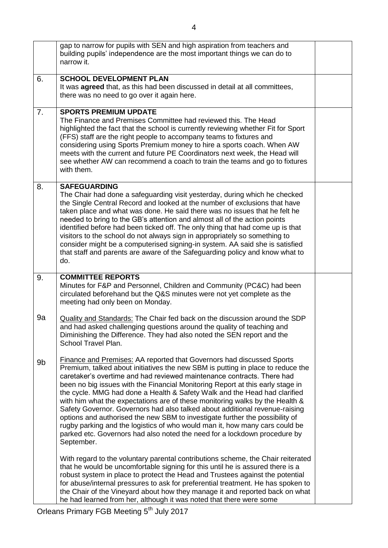|    | gap to narrow for pupils with SEN and high aspiration from teachers and<br>building pupils' independence are the most important things we can do to<br>narrow it.                                                                                                                                                                                                                                                                                                                                                                                                                                                                                                                                                                                                                                                                 |  |
|----|-----------------------------------------------------------------------------------------------------------------------------------------------------------------------------------------------------------------------------------------------------------------------------------------------------------------------------------------------------------------------------------------------------------------------------------------------------------------------------------------------------------------------------------------------------------------------------------------------------------------------------------------------------------------------------------------------------------------------------------------------------------------------------------------------------------------------------------|--|
| 6. | <b>SCHOOL DEVELOPMENT PLAN</b><br>It was <b>agreed</b> that, as this had been discussed in detail at all committees,<br>there was no need to go over it again here.                                                                                                                                                                                                                                                                                                                                                                                                                                                                                                                                                                                                                                                               |  |
| 7. | <b>SPORTS PREMIUM UPDATE</b><br>The Finance and Premises Committee had reviewed this. The Head<br>highlighted the fact that the school is currently reviewing whether Fit for Sport<br>(FFS) staff are the right people to accompany teams to fixtures and<br>considering using Sports Premium money to hire a sports coach. When AW<br>meets with the current and future PE Coordinators next week, the Head will<br>see whether AW can recommend a coach to train the teams and go to fixtures<br>with them.                                                                                                                                                                                                                                                                                                                    |  |
| 8. | <b>SAFEGUARDING</b><br>The Chair had done a safeguarding visit yesterday, during which he checked<br>the Single Central Record and looked at the number of exclusions that have<br>taken place and what was done. He said there was no issues that he felt he<br>needed to bring to the GB's attention and almost all of the action points<br>identified before had been ticked off. The only thing that had come up is that<br>visitors to the school do not always sign in appropriately so something to<br>consider might be a computerised signing-in system. AA said she is satisfied<br>that staff and parents are aware of the Safeguarding policy and know what to<br>do.                                                                                                                                                 |  |
| 9. | <b>COMMITTEE REPORTS</b><br>Minutes for F&P and Personnel, Children and Community (PC&C) had been<br>circulated beforehand but the Q&S minutes were not yet complete as the<br>meeting had only been on Monday.                                                                                                                                                                                                                                                                                                                                                                                                                                                                                                                                                                                                                   |  |
| 9a | <b>Quality and Standards: The Chair fed back on the discussion around the SDP</b><br>and had asked challenging questions around the quality of teaching and<br>Diminishing the Difference. They had also noted the SEN report and the<br>School Travel Plan.                                                                                                                                                                                                                                                                                                                                                                                                                                                                                                                                                                      |  |
| 9b | <b>Finance and Premises: AA reported that Governors had discussed Sports</b><br>Premium, talked about initiatives the new SBM is putting in place to reduce the<br>caretaker's overtime and had reviewed maintenance contracts. There had<br>been no big issues with the Financial Monitoring Report at this early stage in<br>the cycle. MMG had done a Health & Safety Walk and the Head had clarified<br>with him what the expectations are of these monitoring walks by the Health &<br>Safety Governor. Governors had also talked about additional revenue-raising<br>options and authorised the new SBM to investigate further the possibility of<br>rugby parking and the logistics of who would man it, how many cars could be<br>parked etc. Governors had also noted the need for a lockdown procedure by<br>September. |  |
|    | With regard to the voluntary parental contributions scheme, the Chair reiterated<br>that he would be uncomfortable signing for this until he is assured there is a<br>robust system in place to protect the Head and Trustees against the potential<br>for abuse/internal pressures to ask for preferential treatment. He has spoken to<br>the Chair of the Vineyard about how they manage it and reported back on what<br>he had learned from her, although it was noted that there were some                                                                                                                                                                                                                                                                                                                                    |  |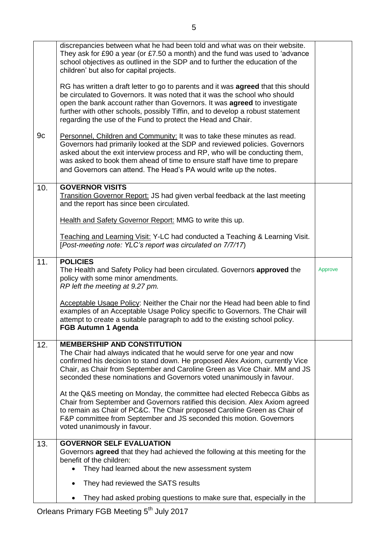|     | discrepancies between what he had been told and what was on their website.<br>They ask for £90 a year (or £7.50 a month) and the fund was used to 'advance<br>school objectives as outlined in the SDP and to further the education of the<br>children' but also for capital projects.<br>RG has written a draft letter to go to parents and it was <b>agreed</b> that this should<br>be circulated to Governors. It was noted that it was the school who should<br>open the bank account rather than Governors. It was agreed to investigate<br>further with other schools, possibly Tiffin, and to develop a robust statement |         |
|-----|---------------------------------------------------------------------------------------------------------------------------------------------------------------------------------------------------------------------------------------------------------------------------------------------------------------------------------------------------------------------------------------------------------------------------------------------------------------------------------------------------------------------------------------------------------------------------------------------------------------------------------|---------|
|     | regarding the use of the Fund to protect the Head and Chair.                                                                                                                                                                                                                                                                                                                                                                                                                                                                                                                                                                    |         |
| 9c  | Personnel, Children and Community: It was to take these minutes as read.<br>Governors had primarily looked at the SDP and reviewed policies. Governors<br>asked about the exit interview process and RP, who will be conducting them,<br>was asked to book them ahead of time to ensure staff have time to prepare<br>and Governors can attend. The Head's PA would write up the notes.                                                                                                                                                                                                                                         |         |
| 10. | <b>GOVERNOR VISITS</b><br>Transition Governor Report: JS had given verbal feedback at the last meeting<br>and the report has since been circulated.                                                                                                                                                                                                                                                                                                                                                                                                                                                                             |         |
|     | Health and Safety Governor Report: MMG to write this up.                                                                                                                                                                                                                                                                                                                                                                                                                                                                                                                                                                        |         |
|     |                                                                                                                                                                                                                                                                                                                                                                                                                                                                                                                                                                                                                                 |         |
|     | Teaching and Learning Visit: Y-LC had conducted a Teaching & Learning Visit.<br>[Post-meeting note: YLC's report was circulated on 7/7/17)                                                                                                                                                                                                                                                                                                                                                                                                                                                                                      |         |
| 11. | <b>POLICIES</b><br>The Health and Safety Policy had been circulated. Governors approved the<br>policy with some minor amendments.<br>RP left the meeting at 9.27 pm.                                                                                                                                                                                                                                                                                                                                                                                                                                                            | Approve |
|     | Acceptable Usage Policy: Neither the Chair nor the Head had been able to find<br>examples of an Acceptable Usage Policy specific to Governors. The Chair will<br>attempt to create a suitable paragraph to add to the existing school policy.<br><b>FGB Autumn 1 Agenda</b>                                                                                                                                                                                                                                                                                                                                                     |         |
| 12. | <b>MEMBERSHIP AND CONSTITUTION</b><br>The Chair had always indicated that he would serve for one year and now<br>confirmed his decision to stand down. He proposed Alex Axiom, currently Vice<br>Chair, as Chair from September and Caroline Green as Vice Chair. MM and JS<br>seconded these nominations and Governors voted unanimously in favour.                                                                                                                                                                                                                                                                            |         |
|     | At the Q&S meeting on Monday, the committee had elected Rebecca Gibbs as<br>Chair from September and Governors ratified this decision. Alex Axiom agreed<br>to remain as Chair of PC&C. The Chair proposed Caroline Green as Chair of<br>F&P committee from September and JS seconded this motion. Governors<br>voted unanimously in favour.                                                                                                                                                                                                                                                                                    |         |
| 13. | <b>GOVERNOR SELF EVALUATION</b>                                                                                                                                                                                                                                                                                                                                                                                                                                                                                                                                                                                                 |         |
|     | Governors <b>agreed</b> that they had achieved the following at this meeting for the<br>benefit of the children:                                                                                                                                                                                                                                                                                                                                                                                                                                                                                                                |         |
|     | They had learned about the new assessment system                                                                                                                                                                                                                                                                                                                                                                                                                                                                                                                                                                                |         |
|     | They had reviewed the SATS results                                                                                                                                                                                                                                                                                                                                                                                                                                                                                                                                                                                              |         |
|     | They had asked probing questions to make sure that, especially in the                                                                                                                                                                                                                                                                                                                                                                                                                                                                                                                                                           |         |

Orleans Primary FGB Meeting 5<sup>th</sup> July 2017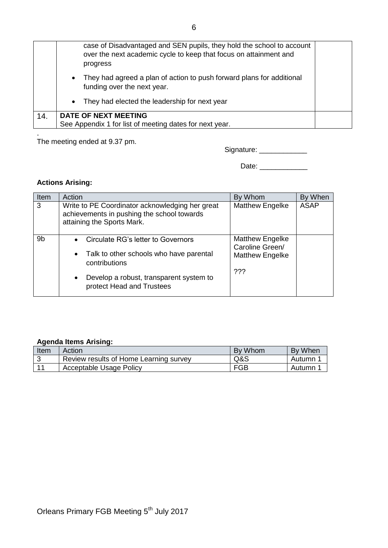|     | case of Disadvantaged and SEN pupils, they hold the school to account<br>over the next academic cycle to keep that focus on attainment and<br>progress |  |
|-----|--------------------------------------------------------------------------------------------------------------------------------------------------------|--|
|     | They had agreed a plan of action to push forward plans for additional<br>$\bullet$<br>funding over the next year.                                      |  |
|     | They had elected the leadership for next year<br>$\bullet$                                                                                             |  |
| 14. | <b>DATE OF NEXT MEETING</b><br>See Appendix 1 for list of meeting dates for next year.                                                                 |  |

. The meeting ended at 9.37 pm.

Date: \_\_\_\_\_\_\_\_\_\_\_\_

# **Actions Arising:**

| Item           | Action                                                                                                                      | By Whom                                                             | By When     |
|----------------|-----------------------------------------------------------------------------------------------------------------------------|---------------------------------------------------------------------|-------------|
| 3              | Write to PE Coordinator acknowledging her great<br>achievements in pushing the school towards<br>attaining the Sports Mark. | Matthew Engelke                                                     | <b>ASAP</b> |
| 9 <sub>b</sub> | Circulate RG's letter to Governors<br>$\bullet$<br>Talk to other schools who have parental<br>$\bullet$<br>contributions    | <b>Matthew Engelke</b><br>Caroline Green/<br><b>Matthew Engelke</b> |             |
| $\bullet$      | Develop a robust, transparent system to<br>protect Head and Trustees                                                        | ???                                                                 |             |

#### **Agenda Items Arising:**

| Item | Action                                 | By Whom    | By When |
|------|----------------------------------------|------------|---------|
|      | Review results of Home Learning survey | Q&S        | Autumn  |
| 44   | Acceptable Usage Policy                | <b>FGB</b> | Autumn  |